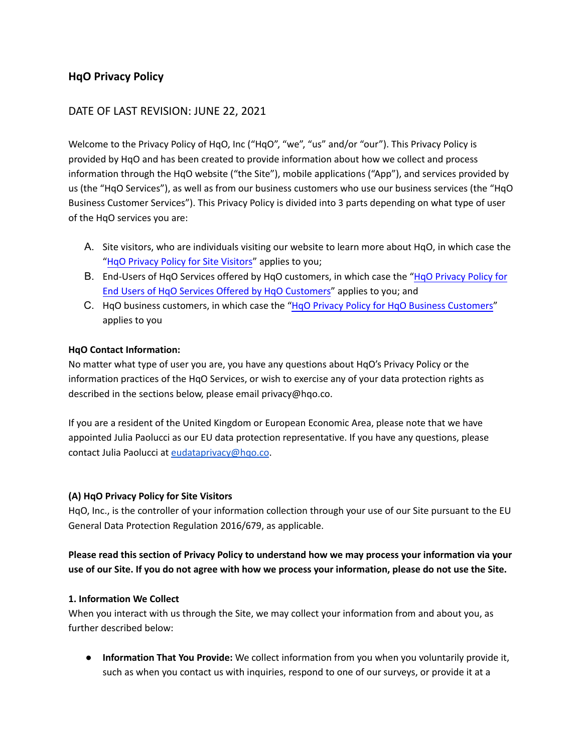# <span id="page-0-0"></span>**HqO Privacy Policy**

# DATE OF LAST REVISION: JUNE 22, 2021

Welcome to the Privacy Policy of HqO, Inc ("HqO", "we", "us" and/or "our"). This Privacy Policy is provided by HqO and has been created to provide information about how we collect and process information through the HqO website ("the Site"), mobile applications ("App"), and services provided by us (the "HqO Services"), as well as from our business customers who use our business services (the "HqO Business Customer Services"). This Privacy Policy is divided into 3 parts depending on what type of user of the HqO services you are:

- A. Site visitors, who are individuals visiting our website to learn more about HqO, in which case the "HqO Privacy Policy for Site Visitors" applies to you;
- B. [End-Users of HqO Services offered by HqO customers, in which case the "HqO Privacy Policy for](#page-7-0) End Users of HqO Services Offered by HqO Customers" applies to you; and
- C. HqO business customers, in which case the ["HqO Privacy Policy for HqO Business Customers"](#page-12-0) applies to you

## **HqO Contact Information:**

No matter what type of user you are, you have any questions about HqO's Privacy Policy or the information practices of the HqO Services, or wish to exercise any of your data protection rights as described in the sections below, please email privacy@hqo.co.

If you are a resident of the United Kingdom or European Economic Area, please note that we have appointed Julia Paolucci as our EU data protection representative. If you have any questions, please contact Julia Paolucci at [eudataprivacy@hqo.co](mailto:eudataprivacy@hqo.co).

### **(A) HqO Privacy Policy for Site Visitors**

HqO, Inc., is the controller of your information collection through your use of our Site pursuant to the EU General Data Protection Regulation 2016/679, as applicable.

**Please read this section of Privacy Policy to understand how we may process your information via your use of our Site. If you do not agree with how we process your information, please do not use the Site.**

### **1. Information We Collect**

When you interact with us through the Site, we may collect your information from and about you, as further described below:

● **Information That You Provide:** We collect information from you when you voluntarily provide it, such as when you contact us with inquiries, respond to one of our surveys, or provide it at a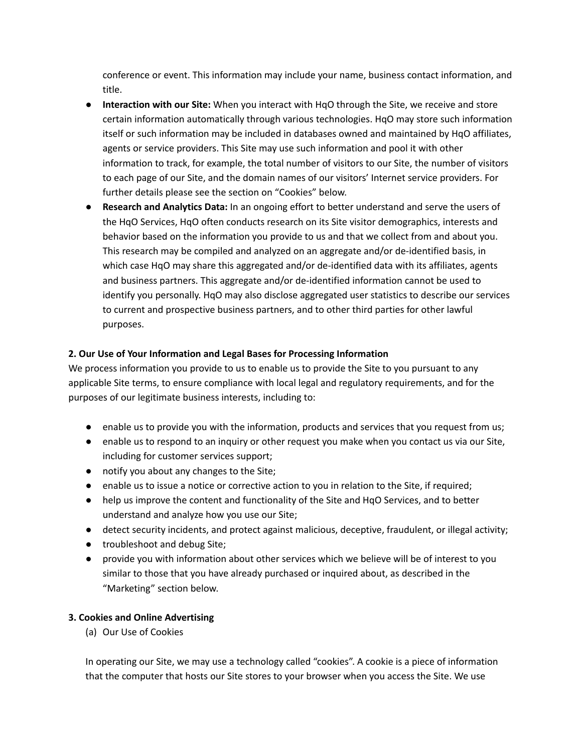conference or event. This information may include your name, business contact information, and title.

- **Interaction with our Site:** When you interact with HqO through the Site, we receive and store certain information automatically through various technologies. HqO may store such information itself or such information may be included in databases owned and maintained by HqO affiliates, agents or service providers. This Site may use such information and pool it with other information to track, for example, the total number of visitors to our Site, the number of visitors to each page of our Site, and the domain names of our visitors' Internet service providers. For further details please see the section on "Cookies" below.
- **Research and Analytics Data:** In an ongoing effort to better understand and serve the users of the HqO Services, HqO often conducts research on its Site visitor demographics, interests and behavior based on the information you provide to us and that we collect from and about you. This research may be compiled and analyzed on an aggregate and/or de-identified basis, in which case HqO may share this aggregated and/or de-identified data with its affiliates, agents and business partners. This aggregate and/or de-identified information cannot be used to identify you personally. HqO may also disclose aggregated user statistics to describe our services to current and prospective business partners, and to other third parties for other lawful purposes.

# **2. Our Use of Your Information and Legal Bases for Processing Information**

We process information you provide to us to enable us to provide the Site to you pursuant to any applicable Site terms, to ensure compliance with local legal and regulatory requirements, and for the purposes of our legitimate business interests, including to:

- enable us to provide you with the information, products and services that you request from us;
- enable us to respond to an inquiry or other request you make when you contact us via our Site, including for customer services support;
- notify you about any changes to the Site;
- enable us to issue a notice or corrective action to you in relation to the Site, if required;
- help us improve the content and functionality of the Site and HqO Services, and to better understand and analyze how you use our Site;
- detect security incidents, and protect against malicious, deceptive, fraudulent, or illegal activity;
- troubleshoot and debug Site;
- provide you with information about other services which we believe will be of interest to you similar to those that you have already purchased or inquired about, as described in the "Marketing" section below.

# **3. Cookies and Online Advertising**

(a) Our Use of Cookies

In operating our Site, we may use a technology called "cookies". A cookie is a piece of information that the computer that hosts our Site stores to your browser when you access the Site. We use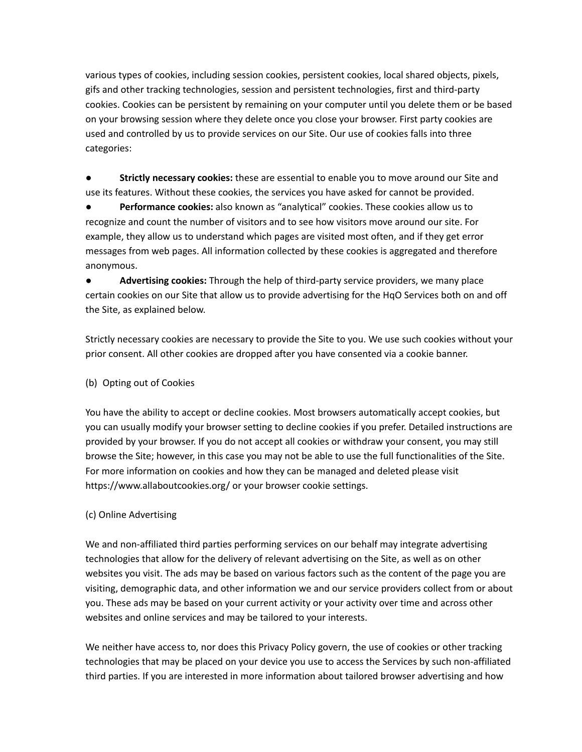various types of cookies, including session cookies, persistent cookies, local shared objects, pixels, gifs and other tracking technologies, session and persistent technologies, first and third-party cookies. Cookies can be persistent by remaining on your computer until you delete them or be based on your browsing session where they delete once you close your browser. First party cookies are used and controlled by us to provide services on our Site. Our use of cookies falls into three categories:

● **Strictly necessary cookies:** these are essential to enable you to move around our Site and use its features. Without these cookies, the services you have asked for cannot be provided.

● **Performance cookies:** also known as "analytical" cookies. These cookies allow us to recognize and count the number of visitors and to see how visitors move around our site. For example, they allow us to understand which pages are visited most often, and if they get error messages from web pages. All information collected by these cookies is aggregated and therefore anonymous.

Advertising cookies: Through the help of third-party service providers, we many place certain cookies on our Site that allow us to provide advertising for the HqO Services both on and off the Site, as explained below.

Strictly necessary cookies are necessary to provide the Site to you. We use such cookies without your prior consent. All other cookies are dropped after you have consented via a cookie banner.

# (b) Opting out of Cookies

You have the ability to accept or decline cookies. Most browsers automatically accept cookies, but you can usually modify your browser setting to decline cookies if you prefer. Detailed instructions are provided by your browser. If you do not accept all cookies or withdraw your consent, you may still browse the Site; however, in this case you may not be able to use the full functionalities of the Site. For more information on cookies and how they can be managed and deleted please visit https://www.allaboutcookies.org/ or your browser cookie settings.

# (c) Online Advertising

We and non-affiliated third parties performing services on our behalf may integrate advertising technologies that allow for the delivery of relevant advertising on the Site, as well as on other websites you visit. The ads may be based on various factors such as the content of the page you are visiting, demographic data, and other information we and our service providers collect from or about you. These ads may be based on your current activity or your activity over time and across other websites and online services and may be tailored to your interests.

We neither have access to, nor does this Privacy Policy govern, the use of cookies or other tracking technologies that may be placed on your device you use to access the Services by such non-affiliated third parties. If you are interested in more information about tailored browser advertising and how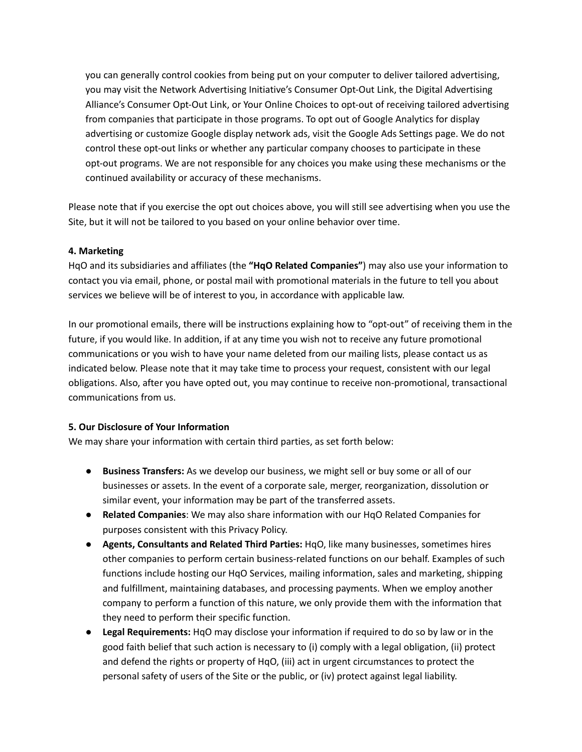you can generally control cookies from being put on your computer to deliver tailored advertising, you may visit the Network Advertising Initiative's Consumer Opt-Out Link, the Digital Advertising Alliance's Consumer Opt-Out Link, or Your Online Choices to opt-out of receiving tailored advertising from companies that participate in those programs. To opt out of Google Analytics for display advertising or customize Google display network ads, visit the Google Ads Settings page. We do not control these opt-out links or whether any particular company chooses to participate in these opt-out programs. We are not responsible for any choices you make using these mechanisms or the continued availability or accuracy of these mechanisms.

Please note that if you exercise the opt out choices above, you will still see advertising when you use the Site, but it will not be tailored to you based on your online behavior over time.

### **4. Marketing**

HqO and its subsidiaries and affiliates (the **"HqO Related Companies"**) may also use your information to contact you via email, phone, or postal mail with promotional materials in the future to tell you about services we believe will be of interest to you, in accordance with applicable law.

In our promotional emails, there will be instructions explaining how to "opt-out" of receiving them in the future, if you would like. In addition, if at any time you wish not to receive any future promotional communications or you wish to have your name deleted from our mailing lists, please contact us as indicated below. Please note that it may take time to process your request, consistent with our legal obligations. Also, after you have opted out, you may continue to receive non-promotional, transactional communications from us.

#### **5. Our Disclosure of Your Information**

We may share your information with certain third parties, as set forth below:

- **Business Transfers:** As we develop our business, we might sell or buy some or all of our businesses or assets. In the event of a corporate sale, merger, reorganization, dissolution or similar event, your information may be part of the transferred assets.
- **Related Companies**: We may also share information with our HqO Related Companies for purposes consistent with this Privacy Policy.
- **Agents, Consultants and Related Third Parties:** HqO, like many businesses, sometimes hires other companies to perform certain business-related functions on our behalf. Examples of such functions include hosting our HqO Services, mailing information, sales and marketing, shipping and fulfillment, maintaining databases, and processing payments. When we employ another company to perform a function of this nature, we only provide them with the information that they need to perform their specific function.
- **Legal Requirements:** HqO may disclose your information if required to do so by law or in the good faith belief that such action is necessary to (i) comply with a legal obligation, (ii) protect and defend the rights or property of HqO, (iii) act in urgent circumstances to protect the personal safety of users of the Site or the public, or (iv) protect against legal liability.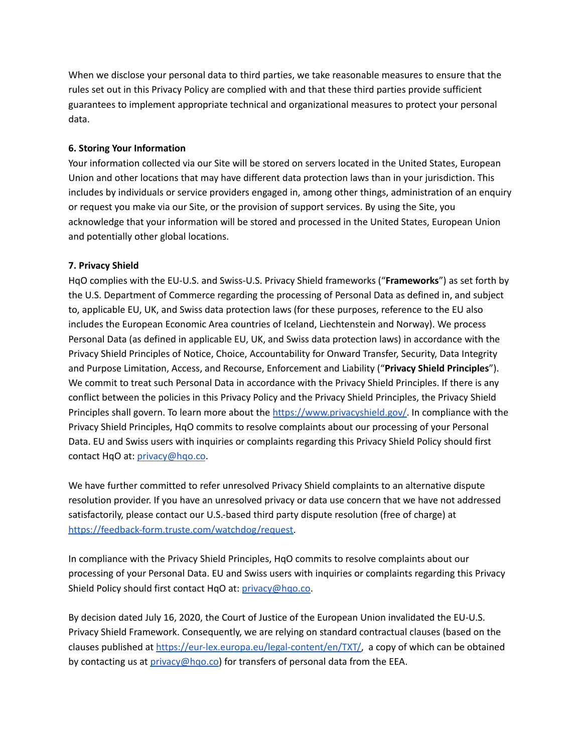When we disclose your personal data to third parties, we take reasonable measures to ensure that the rules set out in this Privacy Policy are complied with and that these third parties provide sufficient guarantees to implement appropriate technical and organizational measures to protect your personal data.

### **6. Storing Your Information**

Your information collected via our Site will be stored on servers located in the United States, European Union and other locations that may have different data protection laws than in your jurisdiction. This includes by individuals or service providers engaged in, among other things, administration of an enquiry or request you make via our Site, or the provision of support services. By using the Site, you acknowledge that your information will be stored and processed in the United States, European Union and potentially other global locations.

### **7. Privacy Shield**

HqO complies with the EU-U.S. and Swiss-U.S. Privacy Shield frameworks ("**Frameworks**") as set forth by the U.S. Department of Commerce regarding the processing of Personal Data as defined in, and subject to, applicable EU, UK, and Swiss data protection laws (for these purposes, reference to the EU also includes the European Economic Area countries of Iceland, Liechtenstein and Norway). We process Personal Data (as defined in applicable EU, UK, and Swiss data protection laws) in accordance with the Privacy Shield Principles of Notice, Choice, Accountability for Onward Transfer, Security, Data Integrity and Purpose Limitation, Access, and Recourse, Enforcement and Liability ("**Privacy Shield Principles**"). We commit to treat such Personal Data in accordance with the Privacy Shield Principles. If there is any conflict between the policies in this Privacy Policy and the Privacy Shield Principles, the Privacy Shield Principles shall govern. To learn more about the [https://www.privacyshield.gov/.](https://www.privacyshield.gov/) In compliance with the Privacy Shield Principles, HqO commits to resolve complaints about our processing of your Personal Data. EU and Swiss users with inquiries or complaints regarding this Privacy Shield Policy should first contact HqO at: [privacy@hqo.co](mailto:privacy@hqo.co).

We have further committed to refer unresolved Privacy Shield complaints to an alternative dispute resolution provider. If you have an unresolved privacy or data use concern that we have not addressed satisfactorily, please contact our U.S.-based third party dispute resolution (free of charge) at [https://feedback-form.truste.com/watchdog/request.](https://feedback-form.truste.com/watchdog/request)

In compliance with the Privacy Shield Principles, HqO commits to resolve complaints about our processing of your Personal Data. EU and Swiss users with inquiries or complaints regarding this Privacy Shield Policy should first contact HqO at: [privacy@hqo.co.](mailto:privacy@hqo.co)

By decision dated July 16, 2020, the Court of Justice of the European Union invalidated the EU-U.S. Privacy Shield Framework. Consequently, we are relying on standard contractual clauses (based on the clauses published at <https://eur-lex.europa.eu/legal-content/en/TXT/>, a copy of which can be obtained by contacting us at  $\frac{\text{privacy}(\text{a} \cdot \text{hqo} \cdot \text{co})}{\text{for transfers of personal data from the EEA}}$ .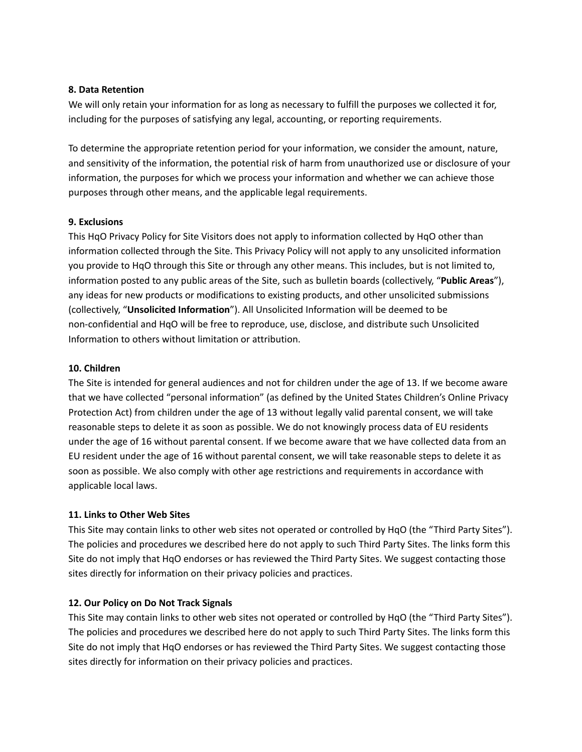#### **8. Data Retention**

We will only retain your information for as long as necessary to fulfill the purposes we collected it for, including for the purposes of satisfying any legal, accounting, or reporting requirements.

To determine the appropriate retention period for your information, we consider the amount, nature, and sensitivity of the information, the potential risk of harm from unauthorized use or disclosure of your information, the purposes for which we process your information and whether we can achieve those purposes through other means, and the applicable legal requirements.

### **9. Exclusions**

This HqO Privacy Policy for Site Visitors does not apply to information collected by HqO other than information collected through the Site. This Privacy Policy will not apply to any unsolicited information you provide to HqO through this Site or through any other means. This includes, but is not limited to, information posted to any public areas of the Site, such as bulletin boards (collectively, "**Public Areas**"), any ideas for new products or modifications to existing products, and other unsolicited submissions (collectively, "**Unsolicited Information**"). All Unsolicited Information will be deemed to be non-confidential and HqO will be free to reproduce, use, disclose, and distribute such Unsolicited Information to others without limitation or attribution.

## **10. Children**

The Site is intended for general audiences and not for children under the age of 13. If we become aware that we have collected "personal information" (as defined by the United States Children's Online Privacy Protection Act) from children under the age of 13 without legally valid parental consent, we will take reasonable steps to delete it as soon as possible. We do not knowingly process data of EU residents under the age of 16 without parental consent. If we become aware that we have collected data from an EU resident under the age of 16 without parental consent, we will take reasonable steps to delete it as soon as possible. We also comply with other age restrictions and requirements in accordance with applicable local laws.

### **11. Links to Other Web Sites**

This Site may contain links to other web sites not operated or controlled by HqO (the "Third Party Sites"). The policies and procedures we described here do not apply to such Third Party Sites. The links form this Site do not imply that HqO endorses or has reviewed the Third Party Sites. We suggest contacting those sites directly for information on their privacy policies and practices.

### **12. Our Policy on Do Not Track Signals**

This Site may contain links to other web sites not operated or controlled by HqO (the "Third Party Sites"). The policies and procedures we described here do not apply to such Third Party Sites. The links form this Site do not imply that HqO endorses or has reviewed the Third Party Sites. We suggest contacting those sites directly for information on their privacy policies and practices.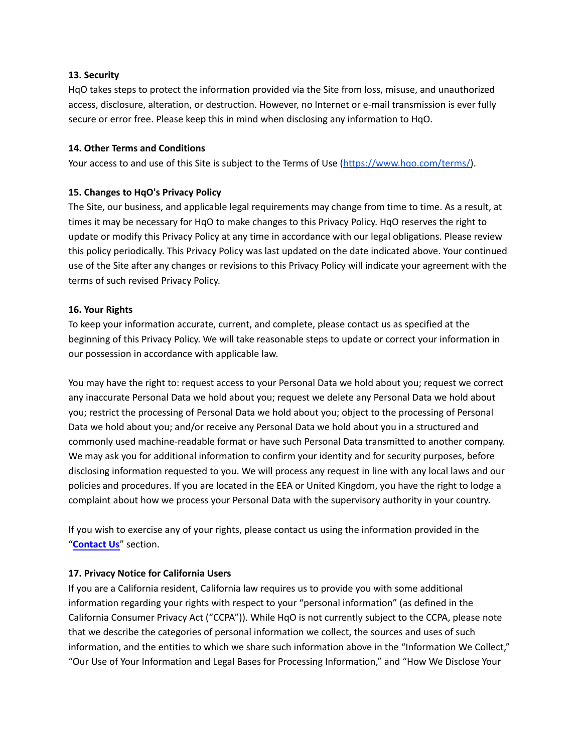### **13. Security**

HqO takes steps to protect the information provided via the Site from loss, misuse, and unauthorized access, disclosure, alteration, or destruction. However, no Internet or e-mail transmission is ever fully secure or error free. Please keep this in mind when disclosing any information to HqO.

#### **14. Other Terms and Conditions**

Your access to and use of this Site is subject to the Terms of Use ([https://www.hqo.com/terms/\)](https://www.hqo.com/terms/).

#### **15. Changes to HqO's Privacy Policy**

The Site, our business, and applicable legal requirements may change from time to time. As a result, at times it may be necessary for HqO to make changes to this Privacy Policy. HqO reserves the right to update or modify this Privacy Policy at any time in accordance with our legal obligations. Please review this policy periodically. This Privacy Policy was last updated on the date indicated above. Your continued use of the Site after any changes or revisions to this Privacy Policy will indicate your agreement with the terms of such revised Privacy Policy.

#### **16. Your Rights**

To keep your information accurate, current, and complete, please contact us as specified at the beginning of this Privacy Policy. We will take reasonable steps to update or correct your information in our possession in accordance with applicable law.

You may have the right to: request access to your Personal Data we hold about you; request we correct any inaccurate Personal Data we hold about you; request we delete any Personal Data we hold about you; restrict the processing of Personal Data we hold about you; object to the processing of Personal Data we hold about you; and/or receive any Personal Data we hold about you in a structured and commonly used machine-readable format or have such Personal Data transmitted to another company. We may ask you for additional information to confirm your identity and for security purposes, before disclosing information requested to you. We will process any request in line with any local laws and our policies and procedures. If you are located in the EEA or United Kingdom, you have the right to lodge a complaint about how we process your Personal Data with the supervisory authority in your country.

If you wish to exercise any of your rights, please contact us using the information provided in the "**[Contact Us](#page-0-0)**" section.

### **17. Privacy Notice for California Users**

If you are a California resident, California law requires us to provide you with some additional information regarding your rights with respect to your "personal information" (as defined in the California Consumer Privacy Act ("CCPA")). While HqO is not currently subject to the CCPA, please note that we describe the categories of personal information we collect, the sources and uses of such information, and the entities to which we share such information above in the "Information We Collect," "Our Use of Your Information and Legal Bases for Processing Information," and "How We Disclose Your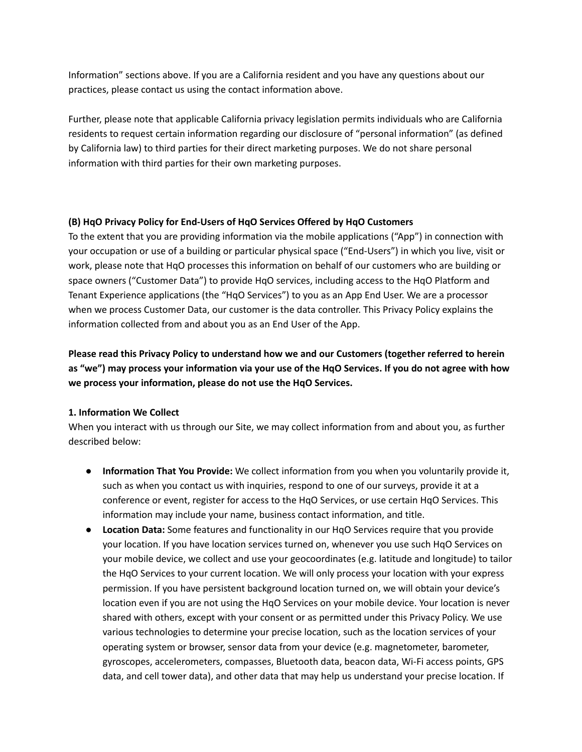<span id="page-7-0"></span>Information" sections above. If you are a California resident and you have any questions about our practices, please contact us using the contact information above.

Further, please note that applicable California privacy legislation permits individuals who are California residents to request certain information regarding our disclosure of "personal information" (as defined by California law) to third parties for their direct marketing purposes. We do not share personal information with third parties for their own marketing purposes.

## **(B) HqO Privacy Policy for End-Users of HqO Services Offered by HqO Customers**

To the extent that you are providing information via the mobile applications ("App") in connection with your occupation or use of a building or particular physical space ("End-Users") in which you live, visit or work, please note that HqO processes this information on behalf of our customers who are building or space owners ("Customer Data") to provide HqO services, including access to the HqO Platform and Tenant Experience applications (the "HqO Services") to you as an App End User. We are a processor when we process Customer Data, our customer is the data controller. This Privacy Policy explains the information collected from and about you as an End User of the App.

**Please read this Privacy Policy to understand how we and our Customers (together referred to herein as "we") may process your information via your use of the HqO Services. If you do not agree with how we process your information, please do not use the HqO Services.**

# **1. Information We Collect**

When you interact with us through our Site, we may collect information from and about you, as further described below:

- **Information That You Provide:** We collect information from you when you voluntarily provide it, such as when you contact us with inquiries, respond to one of our surveys, provide it at a conference or event, register for access to the HqO Services, or use certain HqO Services. This information may include your name, business contact information, and title.
- **Location Data:** Some features and functionality in our HqO Services require that you provide your location. If you have location services turned on, whenever you use such HqO Services on your mobile device, we collect and use your geocoordinates (e.g. latitude and longitude) to tailor the HqO Services to your current location. We will only process your location with your express permission. If you have persistent background location turned on, we will obtain your device's location even if you are not using the HqO Services on your mobile device. Your location is never shared with others, except with your consent or as permitted under this Privacy Policy. We use various technologies to determine your precise location, such as the location services of your operating system or browser, sensor data from your device (e.g. magnetometer, barometer, gyroscopes, accelerometers, compasses, Bluetooth data, beacon data, Wi-Fi access points, GPS data, and cell tower data), and other data that may help us understand your precise location. If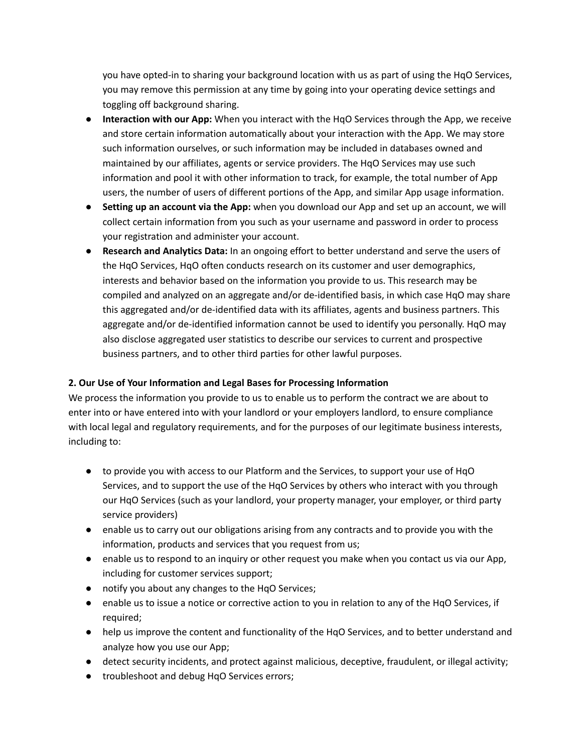you have opted-in to sharing your background location with us as part of using the HqO Services, you may remove this permission at any time by going into your operating device settings and toggling off background sharing.

- **Interaction with our App:** When you interact with the HqO Services through the App, we receive and store certain information automatically about your interaction with the App. We may store such information ourselves, or such information may be included in databases owned and maintained by our affiliates, agents or service providers. The HqO Services may use such information and pool it with other information to track, for example, the total number of App users, the number of users of different portions of the App, and similar App usage information.
- **Setting up an account via the App:** when you download our App and set up an account, we will collect certain information from you such as your username and password in order to process your registration and administer your account.
- **Research and Analytics Data:** In an ongoing effort to better understand and serve the users of the HqO Services, HqO often conducts research on its customer and user demographics, interests and behavior based on the information you provide to us. This research may be compiled and analyzed on an aggregate and/or de-identified basis, in which case HqO may share this aggregated and/or de-identified data with its affiliates, agents and business partners. This aggregate and/or de-identified information cannot be used to identify you personally. HqO may also disclose aggregated user statistics to describe our services to current and prospective business partners, and to other third parties for other lawful purposes.

# **2. Our Use of Your Information and Legal Bases for Processing Information**

We process the information you provide to us to enable us to perform the contract we are about to enter into or have entered into with your landlord or your employers landlord, to ensure compliance with local legal and regulatory requirements, and for the purposes of our legitimate business interests, including to:

- to provide you with access to our Platform and the Services, to support your use of HqO Services, and to support the use of the HqO Services by others who interact with you through our HqO Services (such as your landlord, your property manager, your employer, or third party service providers)
- enable us to carry out our obligations arising from any contracts and to provide you with the information, products and services that you request from us;
- enable us to respond to an inquiry or other request you make when you contact us via our App, including for customer services support;
- notify you about any changes to the HqO Services;
- enable us to issue a notice or corrective action to you in relation to any of the HqO Services, if required;
- help us improve the content and functionality of the HqO Services, and to better understand and analyze how you use our App;
- detect security incidents, and protect against malicious, deceptive, fraudulent, or illegal activity;
- troubleshoot and debug HqO Services errors;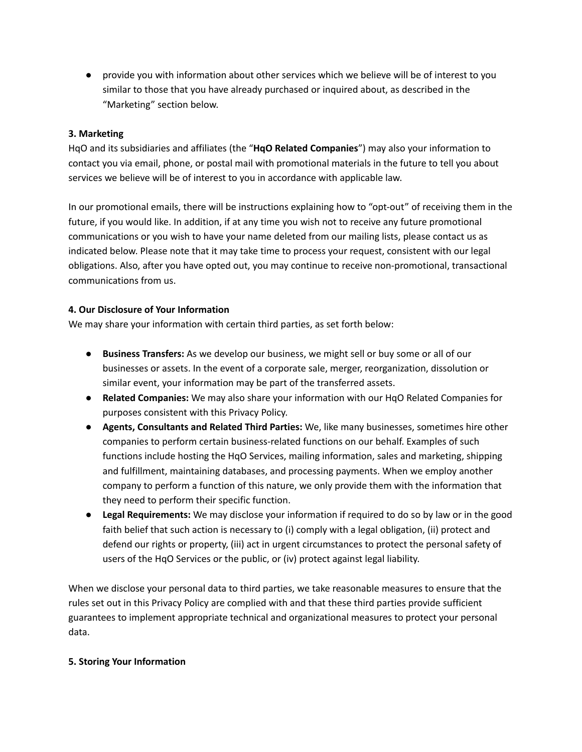● provide you with information about other services which we believe will be of interest to you similar to those that you have already purchased or inquired about, as described in the "Marketing" section below.

## **3. Marketing**

HqO and its subsidiaries and affiliates (the "**HqO Related Companies**") may also your information to contact you via email, phone, or postal mail with promotional materials in the future to tell you about services we believe will be of interest to you in accordance with applicable law.

In our promotional emails, there will be instructions explaining how to "opt-out" of receiving them in the future, if you would like. In addition, if at any time you wish not to receive any future promotional communications or you wish to have your name deleted from our mailing lists, please contact us as indicated below. Please note that it may take time to process your request, consistent with our legal obligations. Also, after you have opted out, you may continue to receive non-promotional, transactional communications from us.

### **4. Our Disclosure of Your Information**

We may share your information with certain third parties, as set forth below:

- **Business Transfers:** As we develop our business, we might sell or buy some or all of our businesses or assets. In the event of a corporate sale, merger, reorganization, dissolution or similar event, your information may be part of the transferred assets.
- **Related Companies:** We may also share your information with our HqO Related Companies for purposes consistent with this Privacy Policy.
- **Agents, Consultants and Related Third Parties:** We, like many businesses, sometimes hire other companies to perform certain business-related functions on our behalf. Examples of such functions include hosting the HqO Services, mailing information, sales and marketing, shipping and fulfillment, maintaining databases, and processing payments. When we employ another company to perform a function of this nature, we only provide them with the information that they need to perform their specific function.
- **Legal Requirements:** We may disclose your information if required to do so by law or in the good faith belief that such action is necessary to (i) comply with a legal obligation, (ii) protect and defend our rights or property, (iii) act in urgent circumstances to protect the personal safety of users of the HqO Services or the public, or (iv) protect against legal liability.

When we disclose your personal data to third parties, we take reasonable measures to ensure that the rules set out in this Privacy Policy are complied with and that these third parties provide sufficient guarantees to implement appropriate technical and organizational measures to protect your personal data.

### **5. Storing Your Information**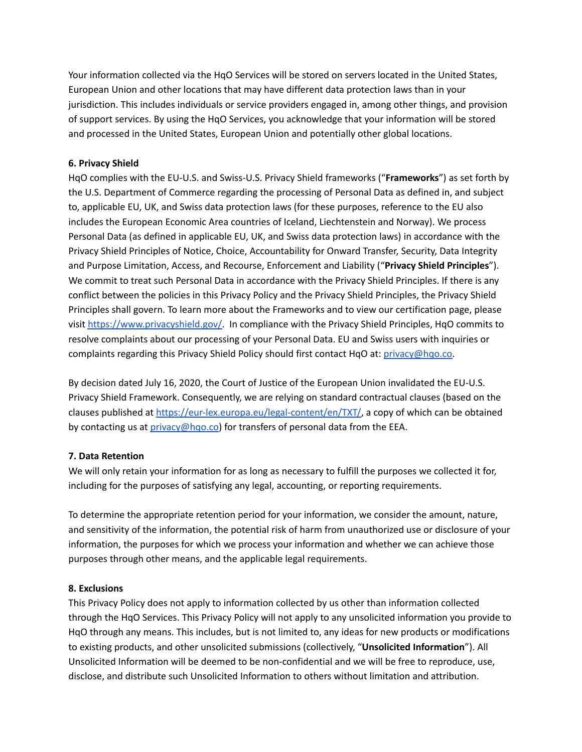Your information collected via the HqO Services will be stored on servers located in the United States, European Union and other locations that may have different data protection laws than in your jurisdiction. This includes individuals or service providers engaged in, among other things, and provision of support services. By using the HqO Services, you acknowledge that your information will be stored and processed in the United States, European Union and potentially other global locations.

## **6. Privacy Shield**

HqO complies with the EU-U.S. and Swiss-U.S. Privacy Shield frameworks ("**Frameworks**") as set forth by the U.S. Department of Commerce regarding the processing of Personal Data as defined in, and subject to, applicable EU, UK, and Swiss data protection laws (for these purposes, reference to the EU also includes the European Economic Area countries of Iceland, Liechtenstein and Norway). We process Personal Data (as defined in applicable EU, UK, and Swiss data protection laws) in accordance with the Privacy Shield Principles of Notice, Choice, Accountability for Onward Transfer, Security, Data Integrity and Purpose Limitation, Access, and Recourse, Enforcement and Liability ("**Privacy Shield Principles**"). We commit to treat such Personal Data in accordance with the Privacy Shield Principles. If there is any conflict between the policies in this Privacy Policy and the Privacy Shield Principles, the Privacy Shield Principles shall govern. To learn more about the Frameworks and to view our certification page, please visit [https://www.privacyshield.gov/.](https://www.privacyshield.gov/) In compliance with the Privacy Shield Principles, HqO commits to resolve complaints about our processing of your Personal Data. EU and Swiss users with inquiries or complaints regarding this Privacy Shield Policy should first contact HqO at: [privacy@hqo.co.](mailto:privacy@hqo.co)

By decision dated July 16, 2020, the Court of Justice of the European Union invalidated the EU-U.S. Privacy Shield Framework. Consequently, we are relying on standard contractual clauses (based on the clauses published at <https://eur-lex.europa.eu/legal-content/en/TXT/>, a copy of which can be obtained by contacting us at *privacy*@hqo.co) for transfers of personal data from the EEA.

### **7. Data Retention**

We will only retain your information for as long as necessary to fulfill the purposes we collected it for, including for the purposes of satisfying any legal, accounting, or reporting requirements.

To determine the appropriate retention period for your information, we consider the amount, nature, and sensitivity of the information, the potential risk of harm from unauthorized use or disclosure of your information, the purposes for which we process your information and whether we can achieve those purposes through other means, and the applicable legal requirements.

### **8. Exclusions**

This Privacy Policy does not apply to information collected by us other than information collected through the HqO Services. This Privacy Policy will not apply to any unsolicited information you provide to HqO through any means. This includes, but is not limited to, any ideas for new products or modifications to existing products, and other unsolicited submissions (collectively, "**Unsolicited Information**"). All Unsolicited Information will be deemed to be non-confidential and we will be free to reproduce, use, disclose, and distribute such Unsolicited Information to others without limitation and attribution.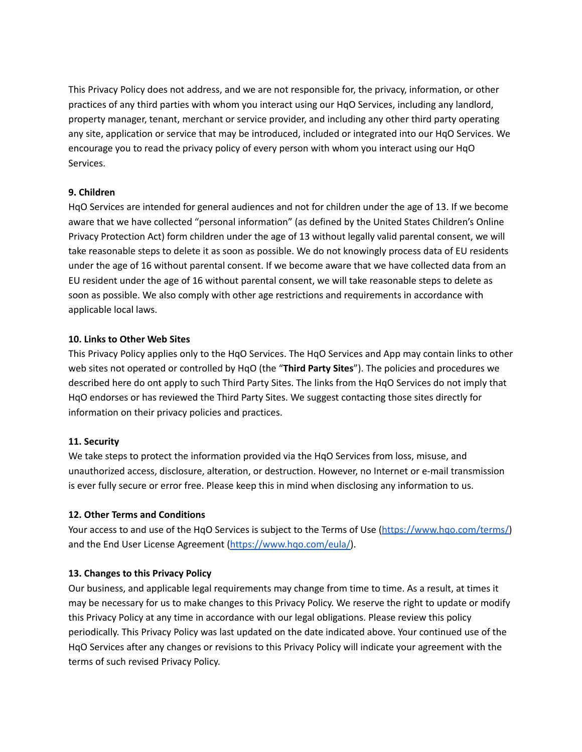This Privacy Policy does not address, and we are not responsible for, the privacy, information, or other practices of any third parties with whom you interact using our HqO Services, including any landlord, property manager, tenant, merchant or service provider, and including any other third party operating any site, application or service that may be introduced, included or integrated into our HqO Services. We encourage you to read the privacy policy of every person with whom you interact using our HqO Services.

### **9. Children**

HqO Services are intended for general audiences and not for children under the age of 13. If we become aware that we have collected "personal information" (as defined by the United States Children's Online Privacy Protection Act) form children under the age of 13 without legally valid parental consent, we will take reasonable steps to delete it as soon as possible. We do not knowingly process data of EU residents under the age of 16 without parental consent. If we become aware that we have collected data from an EU resident under the age of 16 without parental consent, we will take reasonable steps to delete as soon as possible. We also comply with other age restrictions and requirements in accordance with applicable local laws.

### **10. Links to Other Web Sites**

This Privacy Policy applies only to the HqO Services. The HqO Services and App may contain links to other web sites not operated or controlled by HqO (the "**Third Party Sites**"). The policies and procedures we described here do ont apply to such Third Party Sites. The links from the HqO Services do not imply that HqO endorses or has reviewed the Third Party Sites. We suggest contacting those sites directly for information on their privacy policies and practices.

### **11. Security**

We take steps to protect the information provided via the HqO Services from loss, misuse, and unauthorized access, disclosure, alteration, or destruction. However, no Internet or e-mail transmission is ever fully secure or error free. Please keep this in mind when disclosing any information to us.

### **12. Other Terms and Conditions**

Your access to and use of the HqO Services is subject to the Terms of Use ([https://www.hqo.com/terms/\)](https://www.hqo.com/terms/) and the End User License Agreement [\(https://www.hqo.com/eula/\)](https://www.hqo.com/eula/).

### **13. Changes to this Privacy Policy**

Our business, and applicable legal requirements may change from time to time. As a result, at times it may be necessary for us to make changes to this Privacy Policy. We reserve the right to update or modify this Privacy Policy at any time in accordance with our legal obligations. Please review this policy periodically. This Privacy Policy was last updated on the date indicated above. Your continued use of the HqO Services after any changes or revisions to this Privacy Policy will indicate your agreement with the terms of such revised Privacy Policy.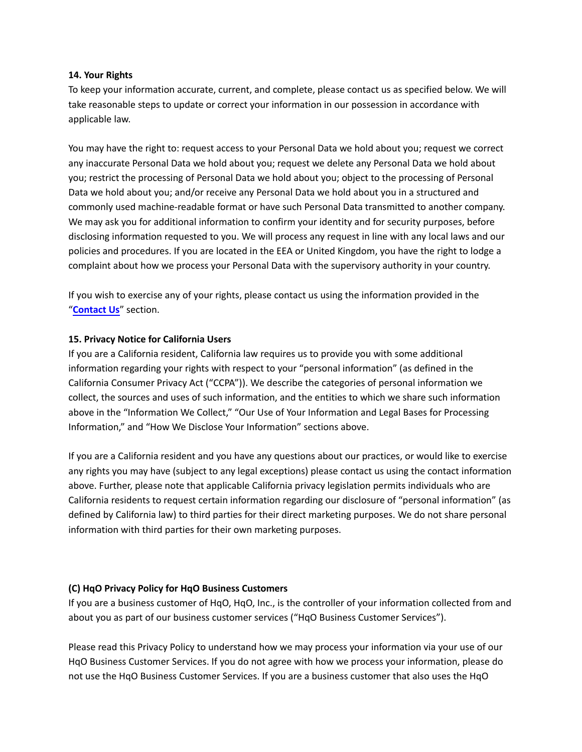#### <span id="page-12-0"></span>**14. Your Rights**

To keep your information accurate, current, and complete, please contact us as specified below. We will take reasonable steps to update or correct your information in our possession in accordance with applicable law.

You may have the right to: request access to your Personal Data we hold about you; request we correct any inaccurate Personal Data we hold about you; request we delete any Personal Data we hold about you; restrict the processing of Personal Data we hold about you; object to the processing of Personal Data we hold about you; and/or receive any Personal Data we hold about you in a structured and commonly used machine-readable format or have such Personal Data transmitted to another company. We may ask you for additional information to confirm your identity and for security purposes, before disclosing information requested to you. We will process any request in line with any local laws and our policies and procedures. If you are located in the EEA or United Kingdom, you have the right to lodge a complaint about how we process your Personal Data with the supervisory authority in your country.

If you wish to exercise any of your rights, please contact us using the information provided in the "**[Contact Us](#page-0-0)**" section.

### **15. Privacy Notice for California Users**

If you are a California resident, California law requires us to provide you with some additional information regarding your rights with respect to your "personal information" (as defined in the California Consumer Privacy Act ("CCPA")). We describe the categories of personal information we collect, the sources and uses of such information, and the entities to which we share such information above in the "Information We Collect," "Our Use of Your Information and Legal Bases for Processing Information," and "How We Disclose Your Information" sections above.

If you are a California resident and you have any questions about our practices, or would like to exercise any rights you may have (subject to any legal exceptions) please contact us using the contact information above. Further, please note that applicable California privacy legislation permits individuals who are California residents to request certain information regarding our disclosure of "personal information" (as defined by California law) to third parties for their direct marketing purposes. We do not share personal information with third parties for their own marketing purposes.

### **(C) HqO Privacy Policy for HqO Business Customers**

If you are a business customer of HqO, HqO, Inc., is the controller of your information collected from and about you as part of our business customer services ("HqO Business Customer Services").

Please read this Privacy Policy to understand how we may process your information via your use of our HqO Business Customer Services. If you do not agree with how we process your information, please do not use the HqO Business Customer Services. If you are a business customer that also uses the HqO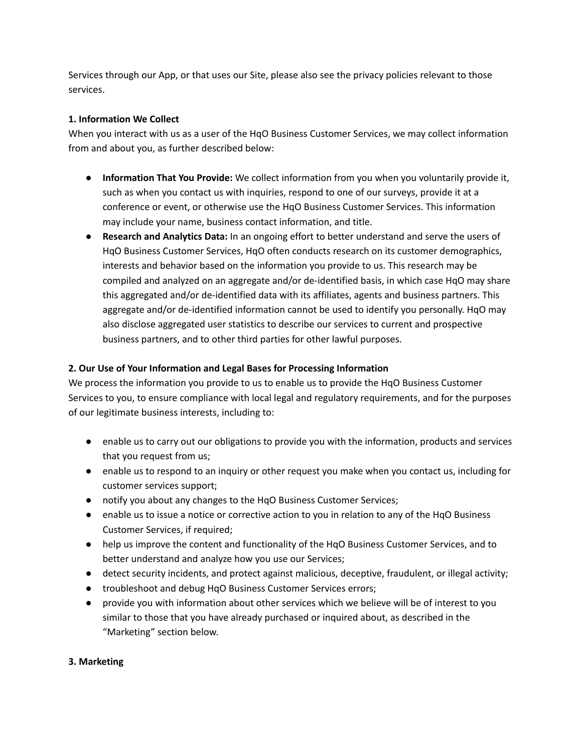Services through our App, or that uses our Site, please also see the privacy policies relevant to those services.

## **1. Information We Collect**

When you interact with us as a user of the HqO Business Customer Services, we may collect information from and about you, as further described below:

- **Information That You Provide:** We collect information from you when you voluntarily provide it, such as when you contact us with inquiries, respond to one of our surveys, provide it at a conference or event, or otherwise use the HqO Business Customer Services. This information may include your name, business contact information, and title.
- **Research and Analytics Data:** In an ongoing effort to better understand and serve the users of HqO Business Customer Services, HqO often conducts research on its customer demographics, interests and behavior based on the information you provide to us. This research may be compiled and analyzed on an aggregate and/or de-identified basis, in which case HqO may share this aggregated and/or de-identified data with its affiliates, agents and business partners. This aggregate and/or de-identified information cannot be used to identify you personally. HqO may also disclose aggregated user statistics to describe our services to current and prospective business partners, and to other third parties for other lawful purposes.

# **2. Our Use of Your Information and Legal Bases for Processing Information**

We process the information you provide to us to enable us to provide the HqO Business Customer Services to you, to ensure compliance with local legal and regulatory requirements, and for the purposes of our legitimate business interests, including to:

- enable us to carry out our obligations to provide you with the information, products and services that you request from us;
- enable us to respond to an inquiry or other request you make when you contact us, including for customer services support;
- notify you about any changes to the HqO Business Customer Services;
- enable us to issue a notice or corrective action to you in relation to any of the HqO Business Customer Services, if required;
- help us improve the content and functionality of the HqO Business Customer Services, and to better understand and analyze how you use our Services;
- detect security incidents, and protect against malicious, deceptive, fraudulent, or illegal activity;
- troubleshoot and debug HqO Business Customer Services errors;
- provide you with information about other services which we believe will be of interest to you similar to those that you have already purchased or inquired about, as described in the "Marketing" section below.

### **3. Marketing**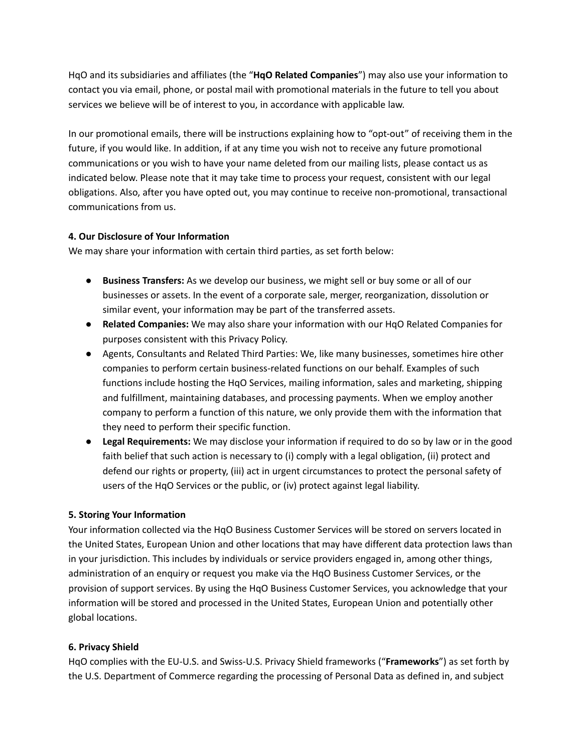HqO and its subsidiaries and affiliates (the "**HqO Related Companies**") may also use your information to contact you via email, phone, or postal mail with promotional materials in the future to tell you about services we believe will be of interest to you, in accordance with applicable law.

In our promotional emails, there will be instructions explaining how to "opt-out" of receiving them in the future, if you would like. In addition, if at any time you wish not to receive any future promotional communications or you wish to have your name deleted from our mailing lists, please contact us as indicated below. Please note that it may take time to process your request, consistent with our legal obligations. Also, after you have opted out, you may continue to receive non-promotional, transactional communications from us.

## **4. Our Disclosure of Your Information**

We may share your information with certain third parties, as set forth below:

- **Business Transfers:** As we develop our business, we might sell or buy some or all of our businesses or assets. In the event of a corporate sale, merger, reorganization, dissolution or similar event, your information may be part of the transferred assets.
- **Related Companies:** We may also share your information with our HqO Related Companies for purposes consistent with this Privacy Policy.
- Agents, Consultants and Related Third Parties: We, like many businesses, sometimes hire other companies to perform certain business-related functions on our behalf. Examples of such functions include hosting the HqO Services, mailing information, sales and marketing, shipping and fulfillment, maintaining databases, and processing payments. When we employ another company to perform a function of this nature, we only provide them with the information that they need to perform their specific function.
- **Legal Requirements:** We may disclose your information if required to do so by law or in the good faith belief that such action is necessary to (i) comply with a legal obligation, (ii) protect and defend our rights or property, (iii) act in urgent circumstances to protect the personal safety of users of the HqO Services or the public, or (iv) protect against legal liability.

# **5. Storing Your Information**

Your information collected via the HqO Business Customer Services will be stored on servers located in the United States, European Union and other locations that may have different data protection laws than in your jurisdiction. This includes by individuals or service providers engaged in, among other things, administration of an enquiry or request you make via the HqO Business Customer Services, or the provision of support services. By using the HqO Business Customer Services, you acknowledge that your information will be stored and processed in the United States, European Union and potentially other global locations.

### **6. Privacy Shield**

HqO complies with the EU-U.S. and Swiss-U.S. Privacy Shield frameworks ("**Frameworks**") as set forth by the U.S. Department of Commerce regarding the processing of Personal Data as defined in, and subject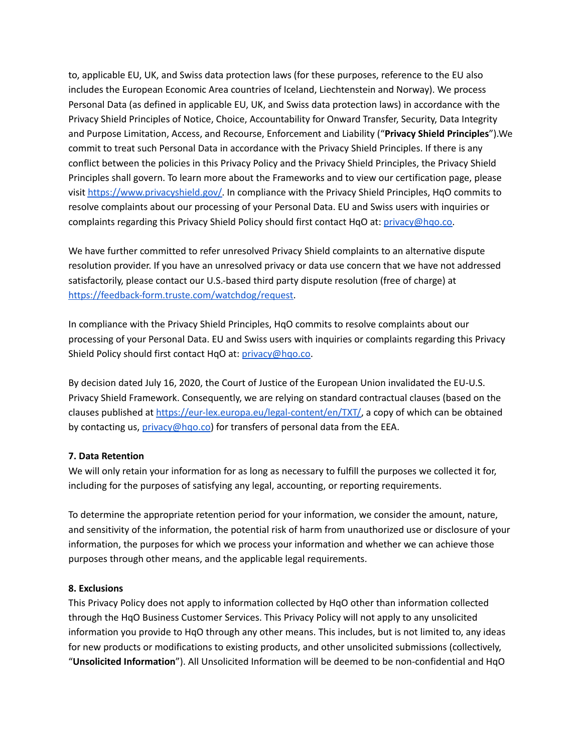to, applicable EU, UK, and Swiss data protection laws (for these purposes, reference to the EU also includes the European Economic Area countries of Iceland, Liechtenstein and Norway). We process Personal Data (as defined in applicable EU, UK, and Swiss data protection laws) in accordance with the Privacy Shield Principles of Notice, Choice, Accountability for Onward Transfer, Security, Data Integrity and Purpose Limitation, Access, and Recourse, Enforcement and Liability ("**Privacy Shield Principles**").We commit to treat such Personal Data in accordance with the Privacy Shield Principles. If there is any conflict between the policies in this Privacy Policy and the Privacy Shield Principles, the Privacy Shield Principles shall govern. To learn more about the Frameworks and to view our certification page, please visit [https://www.privacyshield.gov/.](https://www.privacyshield.gov/) In compliance with the Privacy Shield Principles, HqO commits to resolve complaints about our processing of your Personal Data. EU and Swiss users with inquiries or complaints regarding this Privacy Shield Policy should first contact HqO at: [privacy@hqo.co.](mailto:privacy@hqo.co)

We have further committed to refer unresolved Privacy Shield complaints to an alternative dispute resolution provider. If you have an unresolved privacy or data use concern that we have not addressed satisfactorily, please contact our U.S.-based third party dispute resolution (free of charge) at [https://feedback-form.truste.com/watchdog/request.](https://feedback-form.truste.com/watchdog/request)

In compliance with the Privacy Shield Principles, HqO commits to resolve complaints about our processing of your Personal Data. EU and Swiss users with inquiries or complaints regarding this Privacy Shield Policy should first contact HqO at: [privacy@hqo.co.](mailto:privacy@hqo.co)

By decision dated July 16, 2020, the Court of Justice of the European Union invalidated the EU-U.S. Privacy Shield Framework. Consequently, we are relying on standard contractual clauses (based on the clauses published at <https://eur-lex.europa.eu/legal-content/en/TXT/>, a copy of which can be obtained by contacting us, [privacy@hqo.co\)](mailto:privacy@hqo.co) for transfers of personal data from the EEA.

### **7. Data Retention**

We will only retain your information for as long as necessary to fulfill the purposes we collected it for, including for the purposes of satisfying any legal, accounting, or reporting requirements.

To determine the appropriate retention period for your information, we consider the amount, nature, and sensitivity of the information, the potential risk of harm from unauthorized use or disclosure of your information, the purposes for which we process your information and whether we can achieve those purposes through other means, and the applicable legal requirements.

### **8. Exclusions**

This Privacy Policy does not apply to information collected by HqO other than information collected through the HqO Business Customer Services. This Privacy Policy will not apply to any unsolicited information you provide to HqO through any other means. This includes, but is not limited to, any ideas for new products or modifications to existing products, and other unsolicited submissions (collectively, "**Unsolicited Information**"). All Unsolicited Information will be deemed to be non-confidential and HqO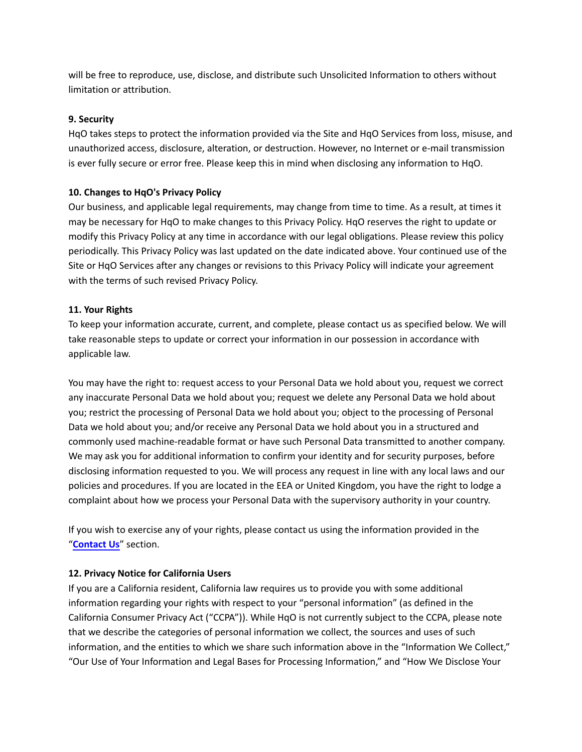will be free to reproduce, use, disclose, and distribute such Unsolicited Information to others without limitation or attribution.

## **9. Security**

HqO takes steps to protect the information provided via the Site and HqO Services from loss, misuse, and unauthorized access, disclosure, alteration, or destruction. However, no Internet or e-mail transmission is ever fully secure or error free. Please keep this in mind when disclosing any information to HqO.

## **10. Changes to HqO's Privacy Policy**

Our business, and applicable legal requirements, may change from time to time. As a result, at times it may be necessary for HqO to make changes to this Privacy Policy. HqO reserves the right to update or modify this Privacy Policy at any time in accordance with our legal obligations. Please review this policy periodically. This Privacy Policy was last updated on the date indicated above. Your continued use of the Site or HqO Services after any changes or revisions to this Privacy Policy will indicate your agreement with the terms of such revised Privacy Policy.

## **11. Your Rights**

To keep your information accurate, current, and complete, please contact us as specified below. We will take reasonable steps to update or correct your information in our possession in accordance with applicable law.

You may have the right to: request access to your Personal Data we hold about you, request we correct any inaccurate Personal Data we hold about you; request we delete any Personal Data we hold about you; restrict the processing of Personal Data we hold about you; object to the processing of Personal Data we hold about you; and/or receive any Personal Data we hold about you in a structured and commonly used machine-readable format or have such Personal Data transmitted to another company. We may ask you for additional information to confirm your identity and for security purposes, before disclosing information requested to you. We will process any request in line with any local laws and our policies and procedures. If you are located in the EEA or United Kingdom, you have the right to lodge a complaint about how we process your Personal Data with the supervisory authority in your country.

If you wish to exercise any of your rights, please contact us using the information provided in the "**[Contact Us](#page-0-0)**" section.

# **12. Privacy Notice for California Users**

If you are a California resident, California law requires us to provide you with some additional information regarding your rights with respect to your "personal information" (as defined in the California Consumer Privacy Act ("CCPA")). While HqO is not currently subject to the CCPA, please note that we describe the categories of personal information we collect, the sources and uses of such information, and the entities to which we share such information above in the "Information We Collect," "Our Use of Your Information and Legal Bases for Processing Information," and "How We Disclose Your